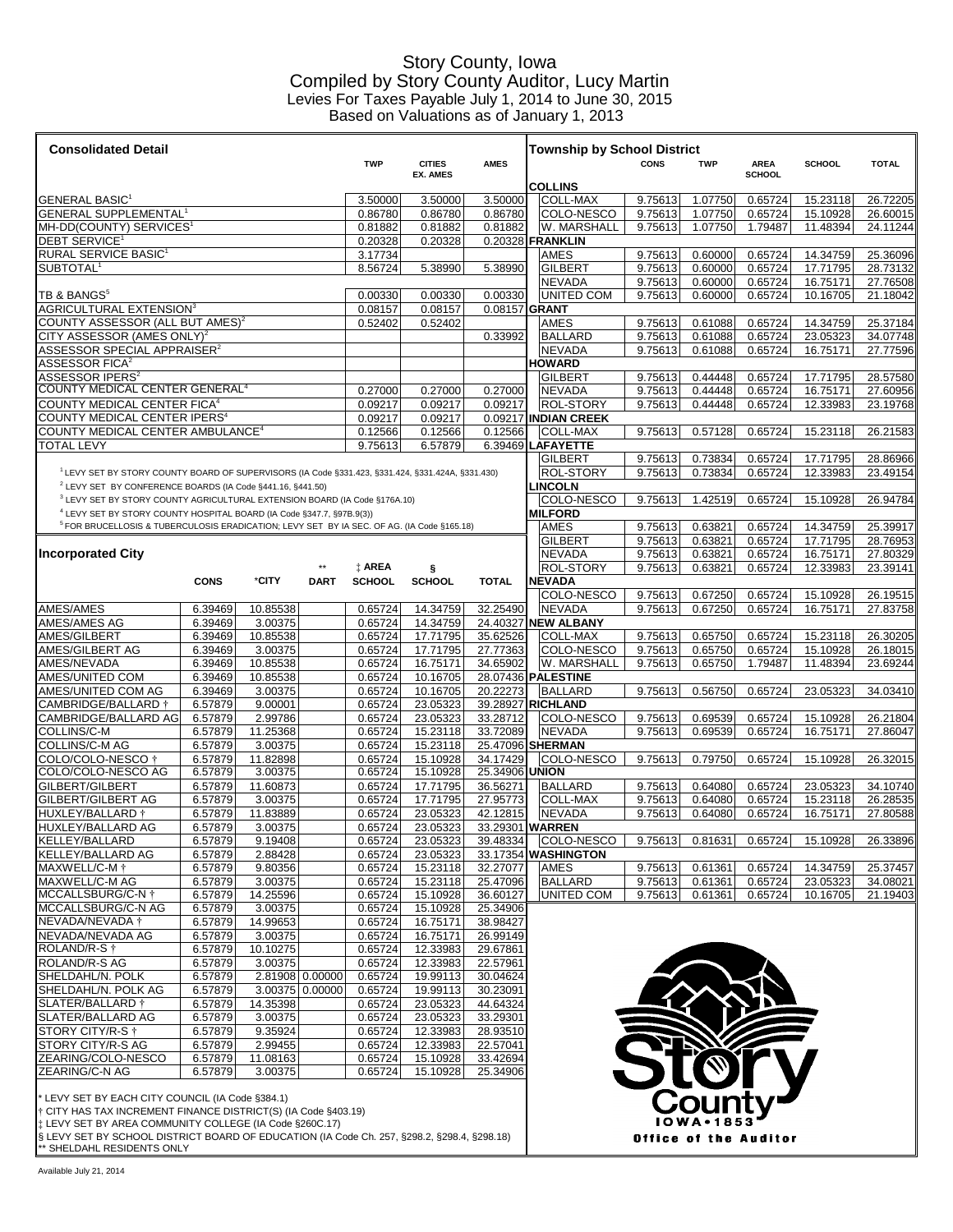### Story County, Iowa Compiled by Story County Auditor, Lucy Martin Levies For Taxes Payable July 1, 2014 to June 30, 2015 Based on Valuations as of January 1, 2013

| <b>Consolidated Detail</b>                                                                                   | <b>Township by School District</b> |                      |                 |                    |                      |                      |                                 |                                  |                    |                       |                    |                      |                      |
|--------------------------------------------------------------------------------------------------------------|------------------------------------|----------------------|-----------------|--------------------|----------------------|----------------------|---------------------------------|----------------------------------|--------------------|-----------------------|--------------------|----------------------|----------------------|
|                                                                                                              |                                    |                      |                 | <b>TWP</b>         | <b>CITIES</b>        | <b>AMES</b>          |                                 |                                  | <b>CONS</b>        | <b>TWP</b>            | <b>AREA</b>        | SCHOOL               | <b>TOTAL</b>         |
|                                                                                                              |                                    |                      |                 |                    | <b>EX. AMES</b>      |                      | SCHOOL<br><b>COLLINS</b>        |                                  |                    |                       |                    |                      |                      |
| GENERAL BASIC'                                                                                               |                                    |                      |                 | 3.50000            | 3.50000              | 3.50000              |                                 | <b>COLL-MAX</b>                  | 9.75613            | 1.07750               | 0.65724            | 15.23118             | 26.72205             |
| <b>GENERAL SUPPLEMENTAL<sup>1</sup></b>                                                                      | 0.86780                            | 0.86780              | 0.86780         |                    | COLO-NESCO           | 9.75613              | 1.07750                         | 0.65724                          | 15.10928           | 26.60015              |                    |                      |                      |
| MH-DD(COUNTY) SERVICES <sup>1</sup>                                                                          |                                    |                      |                 | 0.81882            | 0.81882              | 0.81882              |                                 | W. MARSHALL                      | 9.75613            | 1.07750               | 1.79487            | 11.48394             | 24.11244             |
| <b>DEBT SERVICE<sup>1</sup></b>                                                                              |                                    |                      |                 | 0.20328            | 0.20328              | 0.20328 FRANKLIN     |                                 |                                  |                    |                       |                    |                      |                      |
| RURAL SERVICE BASIC <sup>1</sup>                                                                             |                                    |                      |                 | 3.17734            |                      |                      | <b>AMES</b>                     |                                  | 9.75613            | 0.60000               | 0.65724            | 14.34759             | 25.36096             |
| SUBTOTAL <sup>1</sup>                                                                                        |                                    |                      |                 | 8.56724            | 5.38990              | 5.38990              | <b>GILBERT</b><br><b>NEVADA</b> |                                  | 9.75613<br>9.75613 | 0.60000<br>0.60000    | 0.65724<br>0.65724 | 17.71795<br>16.75171 | 28.73132<br>27.76508 |
| TB & BANGS <sup>5</sup>                                                                                      |                                    |                      |                 | 0.00330            | 0.00330              | 0.00330              |                                 | UNITED COM                       | 9.75613            | 0.60000               | 0.65724            | 10.16705             | 21.18042             |
| AGRICULTURAL EXTENSION <sup>3</sup>                                                                          |                                    |                      |                 | 0.08157            | 0.08157              | 0.08157 GRANT        |                                 |                                  |                    |                       |                    |                      |                      |
| COUNTY ASSESSOR (ALL BUT AMES) $^2$                                                                          |                                    |                      |                 | 0.52402            | 0.52402              |                      | <b>AMES</b>                     |                                  | 9.75613            | 0.61088               | 0.65724            | 14.34759             | 25.37184             |
| $\tt CITY$ ASSESSOR (AMES ONLY) $^2$                                                                         |                                    |                      |                 |                    |                      | 0.33992              | <b>BALLARD</b>                  |                                  | 9.75613            | 0.61088               | 0.65724            | 23.05323             | 34.07748             |
| $\mathsf{ASSESSOR}$ SPECIAL APPRAISER $^2$                                                                   |                                    |                      |                 |                    |                      |                      | <b>NEVADA</b>                   |                                  | 9.75613            | 0.61088               | 0.65724            | 16.75171             | 27.77596             |
| ASSESSOR FICA $^{\rm 2}$                                                                                     |                                    |                      |                 |                    |                      |                      | <b>HOWARD</b>                   |                                  |                    |                       |                    |                      |                      |
| <code>ASSESSOR</code> IPERS $^{\rm z}$                                                                       |                                    |                      |                 |                    |                      |                      | <b>GILBERT</b>                  |                                  | 9.75613            | 0.44448               | 0.65724            | 17.71795             | 28.57580             |
| COUNTY MEDICAL CENTER GENERAL <sup>4</sup><br>COUNTY MEDICAL CENTER FICA <sup>4</sup>                        |                                    |                      |                 | 0.27000            | 0.27000              | 0.27000              | <b>NEVADA</b>                   |                                  | 9.75613            | 0.44448               | 0.65724            | 16.75171             | 27.60956             |
| COUNTY MEDICAL CENTER IPERS <sup>4</sup>                                                                     |                                    |                      |                 | 0.09217<br>0.09217 | 0.09217<br>0.09217   | 0.09217<br>0.09217   |                                 | ROL-STORY<br><b>INDIAN CREEK</b> | 9.75613            | 0.44448               | 0.65724            | 12.33983             | 23.19768             |
| COUNTY MEDICAL CENTER AMBULANCE <sup>4</sup>                                                                 |                                    |                      |                 | 0.12566            | 0.12566              | 0.12566              |                                 | <b>COLL-MAX</b>                  | 9.75613            | 0.57128               | 0.65724            | 15.23118             | 26.21583             |
| TOTAL LEVY                                                                                                   |                                    |                      |                 | 9.75613            | 6.57879              | 6.39469              | <b>AFAYETTE</b>                 |                                  |                    |                       |                    |                      |                      |
|                                                                                                              |                                    |                      |                 |                    |                      |                      | <b>GILBERT</b>                  |                                  | 9.75613            | 0.73834               | 0.65724            | 17.71795             | 28.86966             |
| <sup>1</sup> LEVY SET BY STORY COUNTY BOARD OF SUPERVISORS (IA Code §331.423, §331.424, §331.424A, §331.430) |                                    |                      |                 |                    |                      |                      |                                 | <b>ROL-STORY</b>                 | 9.75613            | 0.73834               | 0.65724            | 12.33983             | 23.49154             |
| <sup>2</sup> LEVY SET BY CONFERENCE BOARDS (IA Code §441.16, §441.50)                                        |                                    |                      |                 |                    |                      |                      | <b>INCOLN</b>                   |                                  |                    |                       |                    |                      |                      |
| <sup>3</sup> LEVY SET BY STORY COUNTY AGRICULTURAL EXTENSION BOARD (IA Code §176A.10)                        |                                    |                      |                 |                    |                      |                      |                                 | COLO-NESCO                       | 9.75613            | 1.42519               | 0.65724            | 15.10928             | 26.94784             |
| <sup>4</sup> LEVY SET BY STORY COUNTY HOSPITAL BOARD (IA Code §347.7, §97B.9(3))                             |                                    |                      |                 |                    |                      |                      | <b>MILFORD</b>                  |                                  |                    |                       |                    |                      |                      |
| <sup>5</sup> FOR BRUCELLOSIS & TUBERCULOSIS ERADICATION; LEVY SET BY IA SEC. OF AG. (IA Code §165.18)        |                                    |                      |                 |                    |                      |                      | AMES                            |                                  | 9.75613            | 0.63821               | 0.65724            | 14.34759             | 25.39917             |
| <b>Incorporated City</b>                                                                                     |                                    |                      |                 |                    |                      |                      | <b>GILBERT</b><br><b>NEVADA</b> |                                  | 9.75613<br>9.75613 | 0.63821<br>0.63821    | 0.65724<br>0.65724 | 17.71795<br>16.75171 | 28.76953<br>27.80329 |
|                                                                                                              |                                    |                      |                 | <b>t AREA</b>      | ş                    |                      |                                 | <b>ROL-STORY</b>                 | 9.75613            | 0.63821               | 0.65724            | 12.33983             | 23.39141             |
|                                                                                                              | <b>CONS</b>                        | *CITY                | <b>DART</b>     | <b>SCHOOL</b>      | <b>SCHOOL</b>        | <b>TOTAL</b>         | <b>NEVADA</b>                   |                                  |                    |                       |                    |                      |                      |
|                                                                                                              |                                    |                      |                 |                    |                      |                      |                                 | COLO-NESCO                       | 9.75613            | 0.67250               | 0.65724            | 15.10928             | 26.19515             |
| AMES/AMES                                                                                                    | 6.39469                            | 10.85538             |                 | 0.65724            | 14.34759             | 32.25490             | <b>NEVADA</b>                   |                                  | 9.75613            | 0.67250               | 0.65724            | 16.75171             | 27.83758             |
| AMES/AMES AG                                                                                                 | 6.39469                            | 3.00375              |                 | 0.65724            | 14.34759             | 24.40327             | <b>NEW ALBANY</b>               |                                  |                    |                       |                    |                      |                      |
| AMES/GILBERT                                                                                                 | 6.39469                            | 10.85538             |                 | 0.65724            | 17.71795             | 35.62526             |                                 | <b>COLL-MAX</b>                  | 9.75613            | 0.65750               | 0.65724            | 15.23118             | 26.30205             |
| AMES/GILBERT AG                                                                                              | 6.39469                            | 3.00375              |                 | 0.65724            | 17.71795             | 27.77363             |                                 | COLO-NESCO                       | 9.75613            | 0.65750               | 0.65724            | 15.10928             | 26.18015             |
| <b>AMES/NEVADA</b><br>AMES/UNITED COM                                                                        | 6.39469<br>6.39469                 | 10.85538<br>10.85538 |                 | 0.65724<br>0.65724 | 16.75171<br>10.16705 | 34.65902<br>28.07436 | <b>PALESTINE</b>                | W. MARSHALL                      | 9.75613            | 0.65750               | 1.79487            | 11.48394             | 23.69244             |
| AMES/UNITED COM AG                                                                                           | 6.39469                            | 3.00375              |                 | 0.65724            | 10.16705             | 20.22273             | <b>BALLARD</b>                  |                                  | 9.75613            | 0.56750               | 0.65724            | 23.05323             | 34.03410             |
| CAMBRIDGE/BALLARD †                                                                                          | 6.57879                            | 9.00001              |                 | 0.65724            | 23.05323             | 39.28927             | <b>RICHLAND</b>                 |                                  |                    |                       |                    |                      |                      |
| CAMBRIDGE/BALLARD AG                                                                                         | 6.57879                            | 2.99786              |                 | 0.65724            | 23.05323             | 33.28712             |                                 | COLO-NESCO                       | 9.75613            | 0.69539               | 0.65724            | 15.10928             | 26.21804             |
| COLLINS/C-M                                                                                                  | 6.57879                            | 11.25368             |                 | 0.65724            | 15.23118             | 33.72089             | <b>NEVADA</b>                   |                                  | 9.75613            | 0.69539               | 0.65724            | 16.75171             | 27.86047             |
| COLLINS/C-M AG                                                                                               | 6.57879                            | 3.00375              |                 | 0.65724            | 15.23118             | 25.47096 SHERMAN     |                                 |                                  |                    |                       |                    |                      |                      |
| COLO/COLO-NESCO †                                                                                            | 6.57879                            | 11.82898             |                 | 0.65724            | 15.10928             | 34.17429             |                                 | COLO-NESCO                       | 9.75613            | 0.79750               | 0.65724            | 15.10928             | 26.32015             |
| COLO/COLO-NESCO AG                                                                                           | 6.57879                            | 3.00375              |                 | 0.65724            | 15.10928             | 25.34906             | <b>UNION</b>                    |                                  |                    |                       |                    |                      |                      |
| GILBERT/GILBERT                                                                                              | 6.57879                            | 11.60873             |                 | 0.65724            | 17.71795             | 36.56271             | <b>BALLARD</b>                  |                                  | 9.75613            | 0.64080               | 0.65724            | 23.05323             | 34.10740             |
| GILBERT/GILBERT AG<br>HUXLEY/BALLARD †                                                                       | 6.57879<br>6.57879                 | 3.00375<br>11.83889  |                 | 0.65724<br>0.65724 | 17.71795<br>23.05323 | 27.95773<br>42.12815 | <b>NEVADA</b>                   | COLL-MAX                         | 9.75613<br>9.75613 | 0.64080<br>0.64080    | 0.65724<br>0.65724 | 15.23118<br>16.75171 | 26.28535<br>27.80588 |
| HUXLEY/BALLARD AG                                                                                            | 6.57879                            | 3.00375              |                 | 0.65724            | 23.05323             | 33.29301 WARREN      |                                 |                                  |                    |                       |                    |                      |                      |
| KELLEY/BALLARD                                                                                               | 6.57879                            | 9.19408              |                 | 0.65724            | 23.05323             | 39.48334             |                                 | COLO-NESCO                       | 9.75613            | 0.81631               | 0.65724            | 15.10928             | 26.33896             |
| <b>KELLEY/BALLARD AG</b>                                                                                     | 6.57879                            | 2.88428              |                 | 0.65724            | 23.05323             | 33.17354 WASHINGTON  |                                 |                                  |                    |                       |                    |                      |                      |
| MAXWELL/C-M <sup>+</sup>                                                                                     | 6.57879                            | 9.80356              |                 | 0.65724            | 15.23118             | 32.27077             | <b>AMES</b>                     |                                  | 9.75613            | 0.61361               | 0.65724            | 14.34759             | 25.37457             |
| MAXWELL/C-M AG                                                                                               | 6.57879                            | 3.00375              |                 | 0.65724            | 15.23118             | 25.47096             | <b>BALLARD</b>                  |                                  | 9.75613            | 0.61361               | 0.65724            | 23.05323             | 34.08021             |
| MCCALLSBURG/C-N <sup>+</sup>                                                                                 | 6.57879                            | 14.25596             |                 | 0.65724            | 15.10928             | 36.60127             |                                 | <b>UNITED COM</b>                | 9.75613            | 0.61361               | 0.65724            | 10.16705             | 21.19403             |
| MCCALLSBURG/C-N AG                                                                                           | 6.57879                            | 3.00375              |                 | 0.65724            | 15.10928             | 25.34906             |                                 |                                  |                    |                       |                    |                      |                      |
| NEVADA/NEVADA †                                                                                              | 6.57879                            | 14.99653             |                 | 0.65724            | 16.75171             | 38.98427             |                                 |                                  |                    |                       |                    |                      |                      |
| NEVADA/NEVADA AG<br>ROLAND/R-S <sup>+</sup>                                                                  | 6.57879<br>6.57879                 | 3.00375<br>10.10275  |                 | 0.65724<br>0.65724 | 16.75171<br>12.33983 | 26.99149<br>29.67861 |                                 |                                  |                    |                       |                    |                      |                      |
| ROLAND/R-S AG                                                                                                | 6.57879                            | 3.00375              |                 | 0.65724            | 12.33983             | 22.57961             |                                 |                                  |                    |                       |                    |                      |                      |
| SHELDAHL/N. POLK                                                                                             | 6.57879                            | 2.81908 0.00000      |                 | 0.65724            | 19.99113             | 30.04624             |                                 |                                  |                    |                       |                    |                      |                      |
| SHELDAHL/N. POLK AG                                                                                          | 6.57879                            |                      | 3.00375 0.00000 | 0.65724            | 19.99113             | 30.23091             |                                 |                                  |                    |                       |                    |                      |                      |
| SLATER/BALLARD †                                                                                             | 6.57879                            | 14.35398             |                 | 0.65724            | 23.05323             | 44.64324             |                                 |                                  |                    |                       |                    |                      |                      |
| SLATER/BALLARD AG                                                                                            | 6.57879                            | 3.00375              |                 | 0.65724            | 23.05323             | 33.29301             |                                 |                                  |                    |                       |                    |                      |                      |
| STORY CITY/R-S †                                                                                             | 6.57879                            | 9.35924              |                 | 0.65724            | 12.33983             | 28.93510             |                                 |                                  |                    |                       |                    |                      |                      |
| STORY CITY/R-S AG                                                                                            | 6.57879                            | 2.99455              |                 | 0.65724            | 12.33983             | 22.57041             |                                 |                                  |                    | $\blacktriangleright$ |                    |                      |                      |
| ZEARING/COLO-NESCO                                                                                           | 6.57879                            | 11.08163             |                 | 0.65724            | 15.10928             | 33.42694             |                                 |                                  |                    |                       |                    |                      |                      |
| ZEARING/C-N AG                                                                                               | 6.57879                            | 3.00375              |                 | 0.65724            | 15.10928             | 25.34906             |                                 |                                  |                    |                       |                    |                      |                      |
| * LEVY SET BY EACH CITY COUNCIL (IA Code §384.1)                                                             |                                    |                      |                 |                    |                      |                      |                                 |                                  |                    |                       |                    |                      |                      |

† CITY HAS TAX INCREMENT FINANCE DISTRICT(S) (IA Code §403.19) ‡ LEVY SET BY AREA COMMUNITY COLLEGE (IA Code §260C.17)

§ LEVY SET BY SCHOOL DISTRICT BOARD OF EDUCATION (IA Code Ch. 257, §298.2, §298.4, §298.18)

\*\* SHELDAHL RESIDENTS ONLY